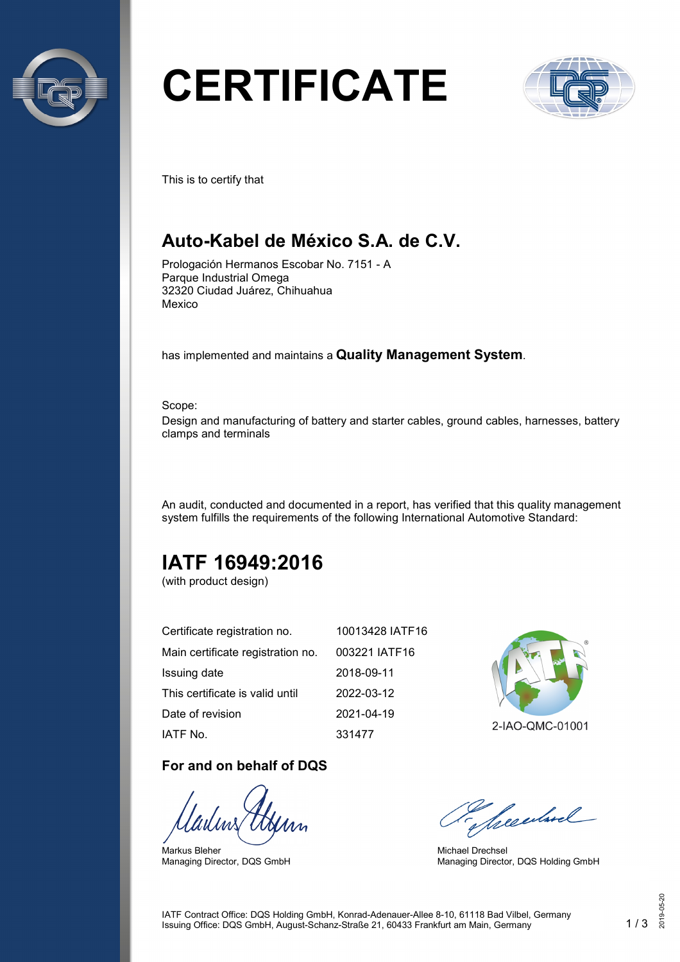

# **CERTIFICATE**



This is to certify that

## **Auto-Kabel de México S.A. de C.V.**

Prologación Hermanos Escobar No. 7151 - A Parque Industrial Omega 32320 Ciudad Juárez, Chihuahua Mexico

has implemented and maintains a **Quality Management System**.

Scope: Design and manufacturing of battery and starter cables, ground cables, harnesses, battery clamps and terminals

An audit, conducted and documented in a report, has verified that this quality management system fulfills the requirements of the following International Automotive Standard:

# **IATF 16949:2016**

(with product design)

| Certificate registration no.      | 10013428 IATF16 |
|-----------------------------------|-----------------|
| Main certificate registration no. | 003221 IATF16   |
| Issuing date                      | 2018-09-11      |
| This certificate is valid until   | 2022-03-12      |
| Date of revision                  | 2021-04-19      |
| IATF No.                          | 331477          |

#### **For and on behalf of DQS**

Markus Bleher Managing Director, DQS GmbH



2-IAO-QMC-01001

Secularel

Michael Drechsel Managing Director, DQS Holding GmbH

IATF Contract Office: DQS Holding GmbH, Konrad-Adenauer-Allee 8-10, 61118 Bad Vilbel, Germany Issuing Office: DQS GmbH, August-Schanz-Straße 21, 60433 Frankfurt am Main, Germany 1 / 3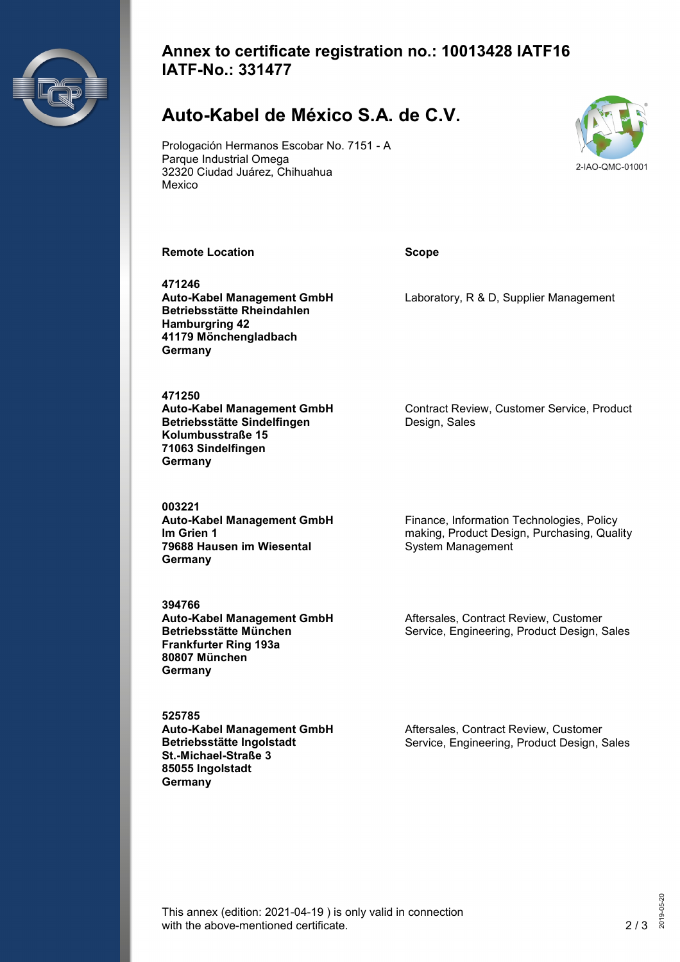

#### **Annex to certificate registration no.: 10013428 IATF16 IATF-No.: 331477**

## **Auto-Kabel de México S.A. de C.V.**

Prologación Hermanos Escobar No. 7151 - A Parque Industrial Omega 32320 Ciudad Juárez, Chihuahua Mexico



**Remote Location Scope**

**471246 Auto-Kabel Management GmbH Betriebsstätte Rheindahlen Hamburgring 42 41179 Mönchengladbach Germany**

**471250 Auto-Kabel Management GmbH Betriebsstätte Sindelfingen Kolumbusstraße 15 71063 Sindelfingen Germany**

**003221 Auto-Kabel Management GmbH Im Grien 1 79688 Hausen im Wiesental Germany**

**394766 Auto-Kabel Management GmbH Betriebsstätte München Frankfurter Ring 193a 80807 München Germany**

**525785 Auto-Kabel Management GmbH Betriebsstätte Ingolstadt St.-Michael-Straße 3 85055 Ingolstadt Germany**

Laboratory, R & D, Supplier Management

Contract Review, Customer Service, Product Design, Sales

Finance, Information Technologies, Policy making, Product Design, Purchasing, Quality System Management

Aftersales, Contract Review, Customer Service, Engineering, Product Design, Sales

Aftersales, Contract Review, Customer Service, Engineering, Product Design, Sales

This annex (edition: 2021-04-19 ) is only valid in connection with the above-mentioned certificate. 2/3